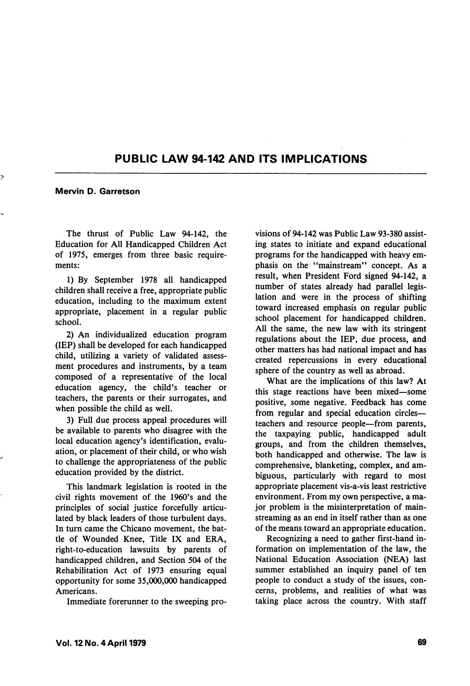## PUBLIC LAW 94-142 AND ITS IMPLICATIONS

Mervin D. Garretson

The thrust of Public Law 94-142, the Education for All Handicapped Children Act of 1975, emerges from three basic require ments:

1) By September 1978 all handicapped children shall receive a free, appropriate public education, including to the maximum extent appropriate, placement in a regular public school.

2) An individualized education program (IE?) shall be developed for each handicapped child, utilizing a variety of validated assess ment procedures and instruments, by a team composed of a representative of the local education agency, the child's teacher or teachers, the parents or their surrogates, and when possible the child as well.

3) Full due process appeal procedures will be available to parents who disagree with the local education agency's identification, evalu ation, or placement of their child, or who wish to challenge the appropriateness of the public education provided by the district.

This landmark legislation is rooted in the civil rights movement of the 1960's and the principles of social justice forcefully articu lated by black leaders of those turbulent days. In turn came the Chicano movement, the bat tle of Wounded Knee, Title IX and ERA, right-to-education lawsuits by parents of handicapped children, and Section 504 of the Rehabilitation Act of 1973 ensuring equal opportunity for some 35,000,000 handicapped Americans.

Immediate forerunner to the sweeping pro

visions of 94-142 was Public Law 93-380 assist ing states to initiate and expand educational programs for the handicapped with heavy em phasis on the "mainstream" concept. As a result, when President Ford signed 94-142, a number of states already had parallel legis lation and were in the process of shifting toward increased emphasis on regular public school placement for handicapped children. All the same, the new law with its stringent regulations about the lEP, due process, and other matters has had national impact and has created repercussions in every educational sphere of the country as well as abroad.

What are the implications of this law? At this stage reactions have been mixed—some positive, some negative. Feedback has come from regular and special education circles teachers and resource people—from parents, the taxpaying public, handicapped adult groups, and from the children themselves, both handicapped and otherwise. The law is comprehensive, blanketing, complex, and am biguous, particularly with regard to most appropriate placement vis-a-vis least restrictive environment. From my own perspective, a ma jor problem is the misinterpretation of mainstreaming as an end in itself rather than as one of the means toward an appropriate education.

Recognizing a need to gather first-hand in formation on implementation of the law, the National Education Association (NEA) last summer established an inquiry panel of ten people to conduct a study of the issues, con cerns, problems, and realities of what was taking place across the country. With staff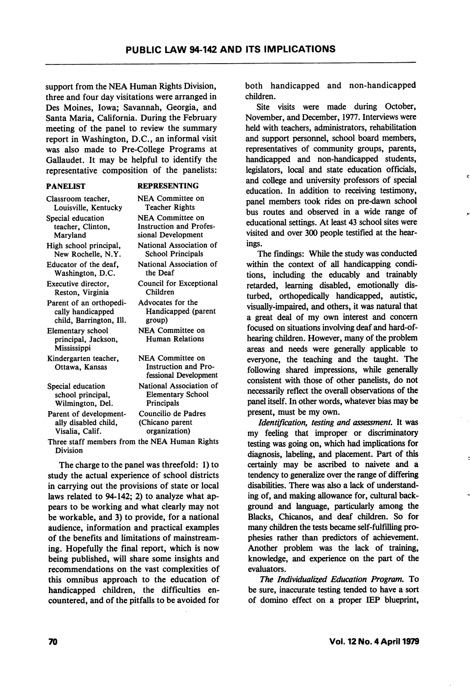support from the NEA Human Rights Division, three and four day visitations were arranged in Des Moines, Iowa; Savannah, Georgia, and Santa Maria, California. During the February meeting of the panel to review the summary report in Washington, D.C., an informal visit was also made to Pre-College Programs at Gallaudet. It may be helpful to identify the representative composition of the panelists:

## PANELIST

## REPRESENTING

Classroom teacher, Louisville, Kentucky Special education teacher, Clinton, Maryland High school principal. New Rochelle, N.Y. Educator of the deaf, Washington, D.C. Executive director, Reston, Virginia Parent of an orthopedically handicapped child, Barrington, 111. Elementary school principal, Jackson, Mississippi Kindergarten teacher, Ottawa, Kansas Special education school principal, Wilmington, Del. Parent of developmentally disabled child, Visalia, Calif. NEA Committee on Teacher Rights NEA Committee on Instruction and Profes sional Development National Association of School Principals National Association of the Deaf Council for Exceptional Children Advocates for the Handicapped (parent group) NEA Committee on Human Relations NEA Committee on Instruction and Pro fessional Development National Association of Elementary School **Principals** Councilio de Padres (Chicano parent organization)

Three staff members from the NEA Human Rights Division

The charge to the panel was threefold: 1) to study the actual experience of school districts in carrying out the provisions of state or local laws related to 94-142; 2) to analyze what ap pears to be working and what clearly may not be workable, and 3) to provide, for a national audience, information and practical examples of the benefits and limitations of mainstreaming. Hopefully the final report, which is now being published, will share some insights and recommendations on the vast complexities of this omnibus approach to the education of handicapped children, the difficulties en countered, and of the pitfalls to be avoided for

both handicapped and non-handicapped children.

Site visits were made during October, November, and December, 1977. Interviews were held with teachers, administrators, rehabilitation and support personnel, school board members, representatives of community groups, parents, handicapped and non-handicapped students, legislators, local and state education officials, and college and university professors of special education. In addition to receiving testimony, panel members took rides on pre-dawn school bus routes and observed in a wide range of educational settings. At least 43 school sites were visited and over 300 people testified at the hearings.

The findings: While the study was conducted within the context of all handicapping condi tions, including the educably and trainably retarded, learning disabled, emotionally dis turbed, orthopedically handicapped, autistic, visually-impaired, and others, it was natural that a great deal of my own interest and concern focused on situations involving deaf and hard-ofhearing children. However, many of the problem areas and needs were generally applicable to everyone, the teaching and the taught. The following shared impressions, while generally consistent with those of other panelists, do not necessarily reflect the overall observations of the panel itself. In other words, whatever bias may be present, must be my own.

Identification, testing and assessment. It was my feeling that improper or discriminatory testing was going on, which had implications for diagnosis, labeling, and placement. Part of this certainly may be ascribed to naivete and a tendency to generalize over the range of differing disabilities. There was also a lack of understand ing of, and making allowance for, cultural back ground and language, particularly among the Blacks, Chicanos, and deaf children. So for many children the tests became self-fulfilling pro phesies rather than predictors of achievement. Another problem was the lack of training, knowledge, and experience on the part of the evaluators.

The Individualized Education Program. To be sure, inaccurate testing tended to have a sort of domino effect on a proper IEP blueprint,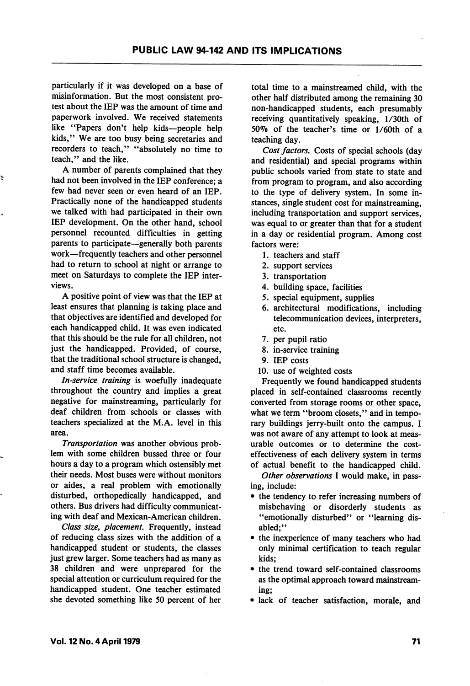particularly if it was developed on a base of misinformation. But the most consistent pro test about the lEP was the amount of time and paperwork involved. We received statements like "Papers don't help kids—people help kids," We are too busy being secretaries and recorders to teach," ''absolutely no time to teach," and the like.

A number of parents complained that they had not been involved in the lEP conference; a few had never seen or even heard of an lEP. Practically none of the handicapped students we talked with had participated in their own lEP development. On the other hand, school personnel recounted difficulties in getting parents to participate—generally both parents work—frequently teachers and other personnel had to return to school at night or arrange to meet on Saturdays to complete the lEP inter views.

A positive point of view was that the lEP at least ensures that planning is taking place and that objectives are identified and developed for each handicapped child. It was even indicated that this should be the rule for all children, not just the handicapped. Provided, of course, that the traditional school structure is changed, and staff time becomes available.

In-service training is woefully inadequate throughout the country and implies a great negative for mainstreaming, particularly for deaf children from schools or classes with teachers specialized at the M.A. level in this area.

Transportation was another obvious problem with some children bussed three or four hours a day to a program which ostensibly met their needs. Most buses were without monitors or aides, a real problem with emotionally disturbed, orthopedically handicapped, and others. Bus drivers had difficulty communicat ing with deaf and Mexican-American children.

Class size, placement. Frequently, instead of reducing class sizes with the addition of a handicapped student or students, the classes just grew larger. Some teachers had as many as 38 children and were unprepared for the special attention or curriculum required for the handicapped student. One teacher estimated she devoted something like 50 percent of her

total time to a mainstreamed child, with the other half distributed among the remaining 30 non-handicapped students, each presumably receiving quantitatively speaking, l/30th of 50% of the teacher's time or  $1/60$ th of a teaching day.

Cost factors. Costs of special schools (day and residential) and special programs within public schools varied from state to state and from program to program, and also according to the type of delivery system. In some in stances, single student cost for mainstreaming, including transportation and support services, was equal to or greater than that for a student in a day or residential program. Among cost factors were:

- 1. teachers and staff
- 2. support services
- 3. transportation
- 4. building space, facilities
- 5. special equipment, supplies
- 6. architectural modifications, including telecommunication devices, interpreters, etc.
- 7. per pupil ratio
- 8. in-service training
- 9. lEP costs
- 10. use of weighted costs

Frequently we found handicapped students placed in self-contained classrooms recently converted from storage rooms or other space, what we term "broom closets," and in temporary buildings jerry-built onto the campus. I was not aware of any attempt to look at meas urable outcomes or to determine the costeffectiveness of each delivery system in terms of actual benefit to the handicapped child.

Other observations I would make, in passing, include:

- the tendency to refer increasing numbers of misbehaving or disorderly students as "emotionally disturbed" or "learning disabled;"
- the inexperience of many teachers who had only minimal certification to teach regular kids;
- the trend toward self-contained classrooms as the optimal approach toward mainstream ing;
- lack of teacher satisfaction, morale, and